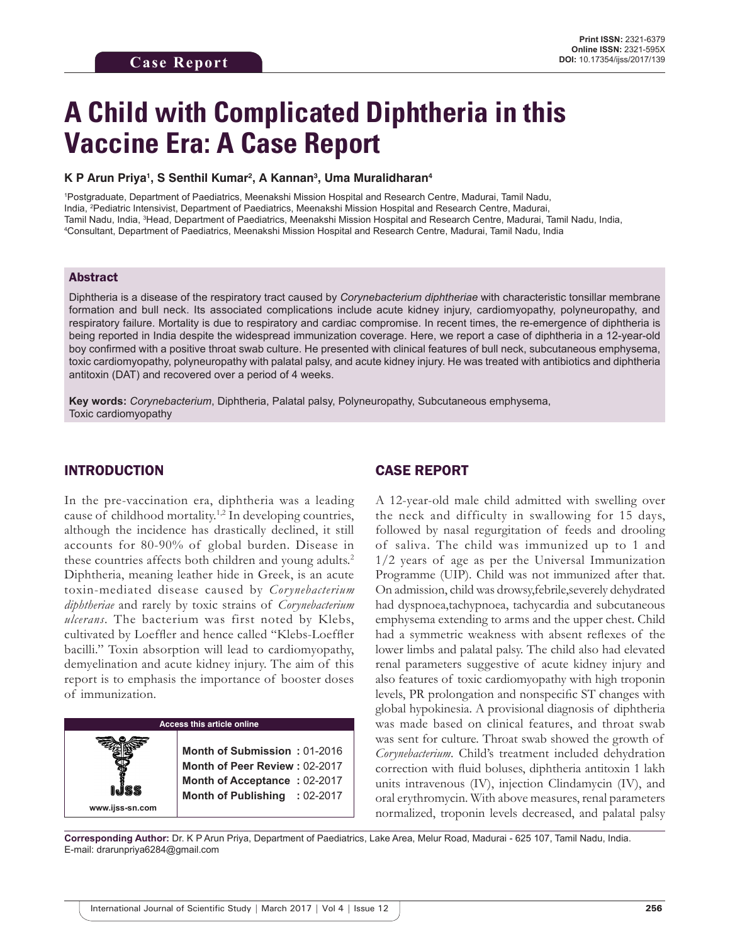# **A Child with Complicated Diphtheria in this Vaccine Era: A Case Report**

#### **K P Arun Priya1 , S Senthil Kumar2 , A Kannan3 , Uma Muralidharan4**

1 Postgraduate, Department of Paediatrics, Meenakshi Mission Hospital and Research Centre, Madurai, Tamil Nadu, India, 2 Pediatric Intensivist, Department of Paediatrics, Meenakshi Mission Hospital and Research Centre, Madurai, Tamil Nadu, India, <sup>3</sup>Head, Department of Paediatrics, Meenakshi Mission Hospital and Research Centre, Madurai, Tamil Nadu, India,<br><sup>4</sup>Consultant, Department of Paediatrics, Meenakshi Mission Hospital and Research Centre, M Consultant, Department of Paediatrics, Meenakshi Mission Hospital and Research Centre, Madurai, Tamil Nadu, India

#### Abstract

Diphtheria is a disease of the respiratory tract caused by *Corynebacterium diphtheriae* with characteristic tonsillar membrane formation and bull neck. Its associated complications include acute kidney injury, cardiomyopathy, polyneuropathy, and respiratory failure. Mortality is due to respiratory and cardiac compromise. In recent times, the re-emergence of diphtheria is being reported in India despite the widespread immunization coverage. Here, we report a case of diphtheria in a 12-year-old boy confirmed with a positive throat swab culture. He presented with clinical features of bull neck, subcutaneous emphysema, toxic cardiomyopathy, polyneuropathy with palatal palsy, and acute kidney injury. He was treated with antibiotics and diphtheria antitoxin (DAT) and recovered over a period of 4 weeks.

**Key words:** *Corynebacterium*, Diphtheria, Palatal palsy, Polyneuropathy, Subcutaneous emphysema, Toxic cardiomyopathy

### INTRODUCTION

In the pre-vaccination era, diphtheria was a leading cause of childhood mortality.<sup>1,2</sup> In developing countries, although the incidence has drastically declined, it still accounts for 80-90% of global burden. Disease in these countries affects both children and young adults.<sup>2</sup> Diphtheria, meaning leather hide in Greek, is an acute toxin-mediated disease caused by *Corynebacterium diphtheriae* and rarely by toxic strains of *Corynebacterium ulcerans*. The bacterium was first noted by Klebs, cultivated by Loeffler and hence called "Klebs-Loeffler bacilli." Toxin absorption will lead to cardiomyopathy, demyelination and acute kidney injury. The aim of this report is to emphasis the importance of booster doses of immunization.



## CASE REPORT

A 12-year-old male child admitted with swelling over the neck and difficulty in swallowing for 15 days, followed by nasal regurgitation of feeds and drooling of saliva. The child was immunized up to 1 and 1/2 years of age as per the Universal Immunization Programme (UIP). Child was not immunized after that. On admission, child was drowsy,febrile,severely dehydrated had dyspnoea,tachypnoea, tachycardia and subcutaneous emphysema extending to arms and the upper chest. Child had a symmetric weakness with absent reflexes of the lower limbs and palatal palsy. The child also had elevated renal parameters suggestive of acute kidney injury and also features of toxic cardiomyopathy with high troponin levels, PR prolongation and nonspecific ST changes with global hypokinesia. A provisional diagnosis of diphtheria was made based on clinical features, and throat swab was sent for culture. Throat swab showed the growth of *Corynebacterium*. Child's treatment included dehydration correction with fluid boluses, diphtheria antitoxin 1 lakh units intravenous (IV), injection Clindamycin (IV), and oral erythromycin. With above measures, renal parameters normalized, troponin levels decreased, and palatal palsy

**Corresponding Author:** Dr. K P Arun Priya, Department of Paediatrics, Lake Area, Melur Road, Madurai - 625 107, Tamil Nadu, India. E-mail: drarunpriya6284@gmail.com